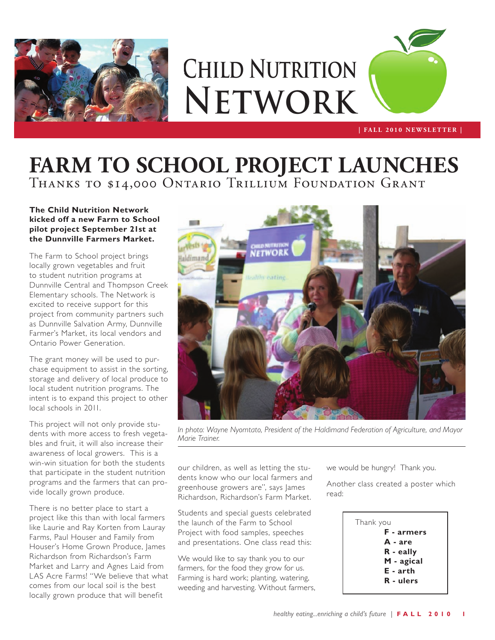

# **Child Nutrition Network**



### Thanks to \$14,000 Ontario Trillium Foundation Grant **FARM TO SCHOOL PROJECT LAUNCHES**

#### **The Child Nutrition Network kicked off a new Farm to School pilot project September 21st at the Dunnville Farmers Market.**

The Farm to School project brings locally grown vegetables and fruit to student nutrition programs at Dunnville Central and Thompson Creek Elementary schools. The Network is excited to receive support for this project from community partners such as Dunnville Salvation Army, Dunnville Farmer's Market, its local vendors and Ontario Power Generation.

The grant money will be used to purchase equipment to assist in the sorting, storage and delivery of local produce to local student nutrition programs. The intent is to expand this project to other local schools in 2011.

This project will not only provide students with more access to fresh vegetables and fruit, it will also increase their awareness of local growers. This is a win-win situation for both the students that participate in the student nutrition programs and the farmers that can provide locally grown produce.

There is no better place to start a project like this than with local farmers like Laurie and Ray Korten from Lauray Farms, Paul Houser and Family from Houser's Home Grown Produce, James Richardson from Richardson's Farm Market and Larry and Agnes Laid from LAS Acre Farms! "We believe that what comes from our local soil is the best locally grown produce that will benefit



*In photo: Wayne Nyomtato, President of the Haldimand Federation of Agriculture, and Mayor Marie Trainer.*

our children, as well as letting the students know who our local farmers and greenhouse growers are", says James Richardson, Richardson's Farm Market.

Students and special guests celebrated the launch of the Farm to School Project with food samples, speeches and presentations. One class read this:

We would like to say thank you to our farmers, for the food they grow for us. Farming is hard work; planting, watering, weeding and harvesting. Without farmers, we would be hungry! Thank you.

Another class created a poster which read:

```
Thank you
F - armers
A - are
R - eally
M - agical
E - arth
R - ulers
```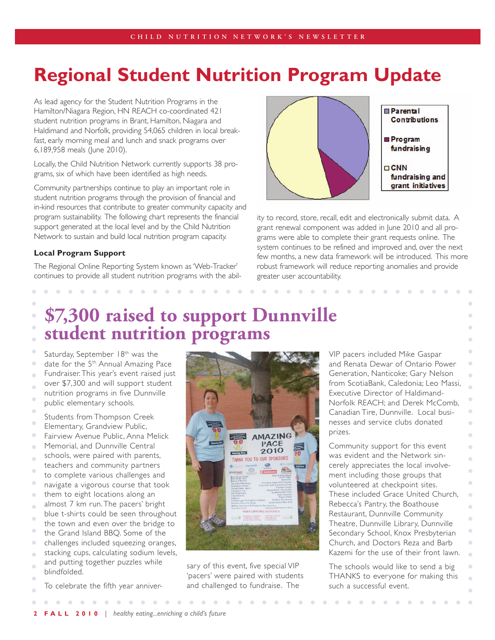### **Regional Student Nutrition Program Update**

As lead agency for the Student Nutrition Programs in the Hamilton/Niagara Region, HN REACH co-coordinated 421 student nutrition programs in Brant, Hamilton, Niagara and Haldimand and Norfolk, providing 54,065 children in local breakfast, early morning meal and lunch and snack programs over 6,189,958 meals (June 2010).

Locally, the Child Nutrition Network currently supports 38 programs, six of which have been identified as high needs.

Community partnerships continue to play an important role in student nutrition programs through the provision of financial and in-kind resources that contribute to greater community capacity and program sustainability. The following chart represents the financial support generated at the local level and by the Child Nutrition Network to sustain and build local nutrition program capacity.

#### **Local Program Support**

The Regional Online Reporting System known as 'Web-Tracker' continues to provide all student nutrition programs with the abil-



ity to record, store, recall, edit and electronically submit data. A grant renewal component was added in June 2010 and all programs were able to complete their grant requests online. The system continues to be refined and improved and, over the next few months, a new data framework will be introduced. This more robust framework will reduce reporting anomalies and provide greater user accountability.

### **\$7,300 raised to support Dunnville student nutrition programs**

- Saturday, September 18<sup>th</sup> was the
- date for the 5<sup>th</sup> Annual Amazing Pace
- Fundraiser. This year's event raised just
- over \$7,300 and will support student
- nutrition programs in five Dunnville
- public elementary schools.
- Students from Thompson Creek
- Elementary, Grandview Public,
- Fairview Avenue Public, Anna Melick
- Memorial, and Dunnville Central
- schools, were paired with parents, teachers and community partners
- to complete various challenges and
- navigate a vigorous course that took
- them to eight locations along an
- almost 7 km run. The pacers' bright
- blue t-shirts could be seen throughout the town and even over the bridge to
- the Grand Island BBQ. Some of the
- challenges included squeezing oranges,
- stacking cups, calculating sodium levels,
- and putting together puzzles while
- blindfolded.
- To celebrate the fifth year anniver-



sary of this event, five special VIP 'pacers' were paired with students and challenged to fundraise. The

VIP pacers included Mike Gaspar and Renata Dewar of Ontario Power Generation, Nanticoke; Gary Nelson from ScotiaBank, Caledonia; Leo Massi, Executive Director of Haldimand-Norfolk REACH; and Derek McComb, Canadian Tire, Dunnville. Local businesses and service clubs donated prizes.

 $\overline{\phantom{a}}$  $\bullet$  $\alpha$  $\mathcal{L}$ Ŏ

 $\sim$ 

Ŏ  $\blacksquare$ ò  $\bullet$  $\bigcirc$  $\bullet$  $\triangle$ 

Community support for this event was evident and the Network sincerely appreciates the local involvement including those groups that volunteered at checkpoint sites. These included Grace United Church, Rebecca's Pantry, the Boathouse Restaurant, Dunnville Community Theatre, Dunnville Library, Dunnville Secondary School, Knox Presbyterian Church, and Doctors Reza and Barb Kazemi for the use of their front lawn.

The schools would like to send a big  $\mathbb{Z}$ THANKS to everyone for making this ò such a successful event.

 $\sim$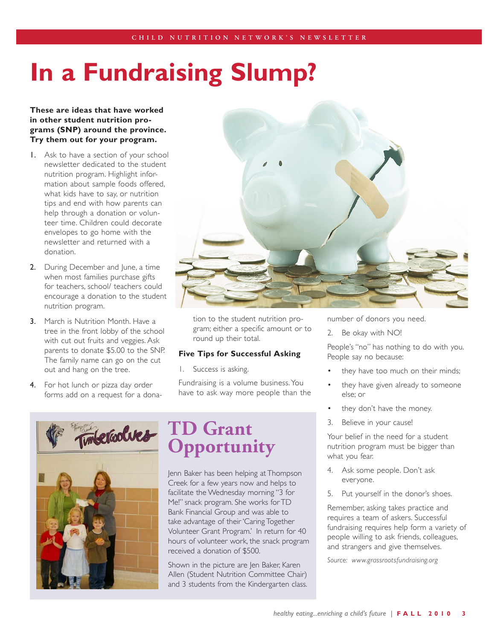## **In a Fundraising Slump?**

#### **These are ideas that have worked in other student nutrition programs (SNP) around the province. Try them out for your program.**

- 1. Ask to have a section of your school newsletter dedicated to the student nutrition program. Highlight information about sample foods offered, what kids have to say, or nutrition tips and end with how parents can help through a donation or volunteer time. Children could decorate envelopes to go home with the newsletter and returned with a donation.
- 2. During December and June, a time when most families purchase gifts for teachers, school/ teachers could encourage a donation to the student nutrition program.
- **3.** March is Nutrition Month. Have a tree in the front lobby of the school with cut out fruits and veggies. Ask parents to donate \$5.00 to the SNP. The family name can go on the cut out and hang on the tree.
- 4. For hot lunch or pizza day order forms add on a request for a dona-





tion to the student nutrition program; either a specific amount or to round up their total.

#### **Five Tips for Successful Asking**

1. Success is asking.

Fundraising is a volume business. You have to ask way more people than the

### **TD Grant Opportunity**

Jenn Baker has been helping at Thompson Creek for a few years now and helps to facilitate the Wednesday morning "3 for Me!" snack program. She works for TD Bank Financial Group and was able to take advantage of their 'Caring Together Volunteer Grant Program.' In return for 40 hours of volunteer work, the snack program received a donation of \$500.

Shown in the picture are Jen Baker, Karen Allen (Student Nutrition Committee Chair) and 3 students from the Kindergarten class.

number of donors you need.

2. Be okay with NO!

People's "no" has nothing to do with you. People say no because:

- they have too much on their minds;
- they have given already to someone else; or
- they don't have the money.
- 3. Believe in your cause!

Your belief in the need for a student nutrition program must be bigger than what you fear.

- 4. Ask some people. Don't ask everyone.
- 5. Put yourself in the donor's shoes.

Remember, asking takes practice and requires a team of askers. Successful fundraising requires help form a variety of people willing to ask friends, colleagues, and strangers and give themselves.

*Source: www.grassrootsfundraising.org*